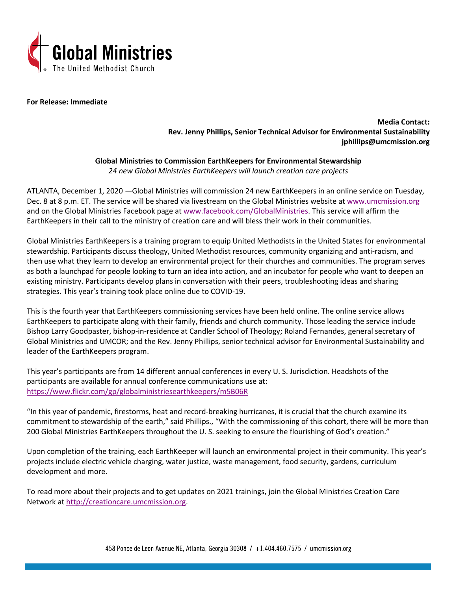

**For Release: Immediate**

**Media Contact: Rev. Jenny Phillips, Senior Technical Advisor for Environmental Sustainability jphillips@umcmission.org**

**Global Ministries to Commission EarthKeepers for Environmental Stewardship** *24 new Global Ministries EarthKeepers will launch creation care projects*

ATLANTA, December 1, 2020 —Global Ministries will commission 24 new EarthKeepers in an online service on Tuesday, Dec. 8 at 8 p.m. ET. The service will be shared via livestream on the Global Ministries website at [www.umcmission.org](http://www.umcmission.org/) and on the Global Ministries Facebook page at [www.facebook.com/GlobalMinistries.](http://www.facebook.com/GlobalMinistries) This service will affirm the EarthKeepers in their call to the ministry of creation care and will bless their work in their communities.

Global Ministries EarthKeepers is a training program to equip United Methodists in the United States for environmental stewardship. Participants discuss theology, United Methodist resources, community organizing and anti-racism, and then use what they learn to develop an environmental project for their churches and communities. The program serves as both a launchpad for people looking to turn an idea into action, and an incubator for people who want to deepen an existing ministry. Participants develop plans in conversation with their peers, troubleshooting ideas and sharing strategies. This year's training took place online due to COVID-19.

This is the fourth year that EarthKeepers commissioning services have been held online. The online service allows EarthKeepers to participate along with their family, friends and church community. Those leading the service include Bishop Larry Goodpaster, bishop-in-residence at Candler School of Theology; Roland Fernandes, general secretary of Global Ministries and UMCOR; and the Rev. Jenny Phillips, senior technical advisor for Environmental Sustainability and leader of the EarthKeepers program.

This year's participants are from 14 different annual conferences in every U. S. Jurisdiction. Headshots of the participants are available for annual conference communications use at: <https://www.flickr.com/gp/globalministriesearthkeepers/m5B06R>

"In this year of pandemic, firestorms, heat and record-breaking hurricanes, it is crucial that the church examine its commitment to stewardship of the earth," said Phillips., "With the commissioning of this cohort, there will be more than 200 Global Ministries EarthKeepers throughout the U. S. seeking to ensure the flourishing of God's creation."

Upon completion of the training, each EarthKeeper will launch an environmental project in their community. This year's projects include electric vehicle charging, water justice, waste management, food security, gardens, curriculum development and more.

To read more about their projects and to get updates on 2021 trainings, join the Global Ministries Creation Care Network a[t http://creationcare.umcmission.org.](http://creationcare.umcmission.org/)